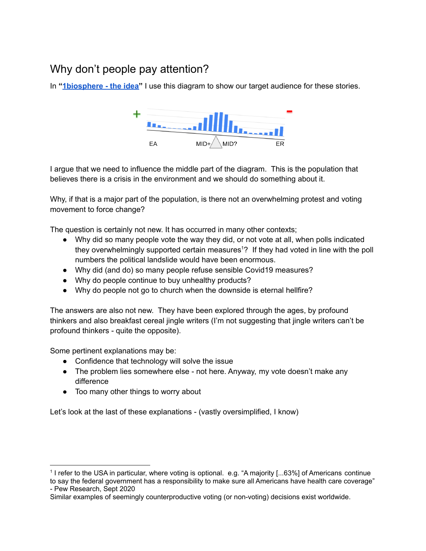# Why don't people pay attention?

In **"[1biosphere](https://www.1biosphere.net/the-idea/) - the idea"** I use this diagram to show our target audience for these stories.



I argue that we need to influence the middle part of the diagram. This is the population that believes there is a crisis in the environment and we should do something about it.

Why, if that is a major part of the population, is there not an overwhelming protest and voting movement to force change?

The question is certainly not new. It has occurred in many other contexts;

- Why did so many people vote the way they did, or not vote at all, when polls indicated they overwhelmingly supported certain measures <sup>1</sup>? If they had voted in line with the poll numbers the political landslide would have been enormous.
- Why did (and do) so many people refuse sensible Covid19 measures?
- Why do people continue to buy unhealthy products?
- Why do people not go to church when the downside is eternal hellfire?

The answers are also not new. They have been explored through the ages, by profound thinkers and also breakfast cereal jingle writers (I'm not suggesting that jingle writers can't be profound thinkers - quite the opposite).

Some pertinent explanations may be:

- Confidence that technology will solve the issue
- The problem lies somewhere else not here. Anyway, my vote doesn't make any difference
- Too many other things to worry about

Let's look at the last of these explanations - (vastly oversimplified, I know)

<sup>1</sup> I refer to the USA in particular, where voting is optional. e.g. "A majority [...63%] of Americans continue to say the federal government has a responsibility to make sure all Americans have health care coverage" - Pew Research, Sept 2020

Similar examples of seemingly counterproductive voting (or non-voting) decisions exist worldwide.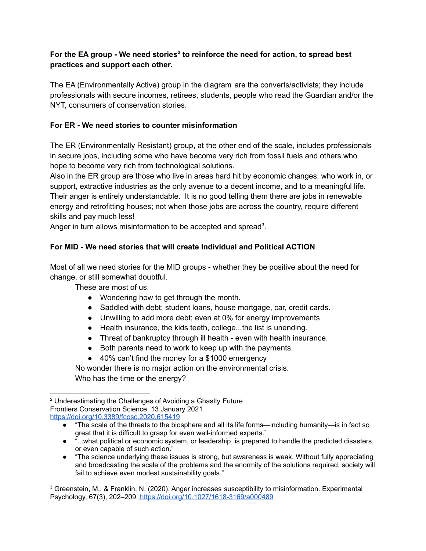### **For the EA group - We need stories 2 to reinforce the need for action, to spread best practices and support each other.**

The EA (Environmentally Active) group in the diagram are the converts/activists; they include professionals with secure incomes, retirees, students, people who read the Guardian and/or the NYT, consumers of conservation stories.

# **For ER - We need stories to counter misinformation**

The ER (Environmentally Resistant) group, at the other end of the scale, includes professionals in secure jobs, including some who have become very rich from fossil fuels and others who hope to become very rich from technological solutions.

Also in the ER group are those who live in areas hard hit by economic changes; who work in, or support, extractive industries as the only avenue to a decent income, and to a meaningful life. Their anger is entirely understandable. It is no good telling them there are jobs in renewable energy and retrofitting houses; not when those jobs are across the country, require different skills and pay much less!

Anger in turn allows misinformation to be accepted and spread<sup>3</sup>.

## **For MID - We need stories that will create Individual and Political ACTION**

Most of all we need stories for the MID groups - whether they be positive about the need for change, or still somewhat doubtful.

These are most of us:

- Wondering how to get through the month.
- Saddled with debt; student loans, house mortgage, car, credit cards.
- Unwilling to add more debt; even at 0% for energy improvements
- Health insurance, the kids teeth, college...the list is unending.
- Threat of bankruptcy through ill health even with health insurance.
- Both parents need to work to keep up with the payments.
- 40% can't find the money for a \$1000 emergency

No wonder there is no major action on the environmental crisis. Who has the time or the energy?

● "The science underlying these issues is strong, but awareness is weak. Without fully appreciating and broadcasting the scale of the problems and the enormity of the solutions required, society will fail to achieve even modest sustainability goals."

<sup>2</sup> Underestimating the Challenges of Avoiding a Ghastly Future Frontiers Conservation Science, 13 January 2021 <https://doi.org/10.3389/fcosc.2020.615419>

<sup>●</sup> "The scale of the threats to the biosphere and all its life forms—including humanity—is in fact so great that it is difficult to grasp for even well-informed experts."

<sup>• &</sup>quot;...what political or economic system, or leadership, is prepared to handle the predicted disasters, or even capable of such action."

<sup>3</sup> Greenstein, M., & Franklin, N. (2020). Anger increases susceptibility to misinformation. Experimental Psychology, 67(3), 202–209. <https://doi.org/10.1027/1618-3169/a000489>